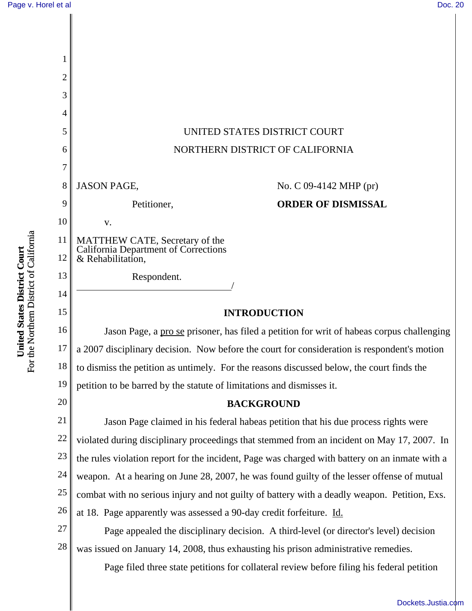

## [Dockets.Justia.com](http://dockets.justia.com/)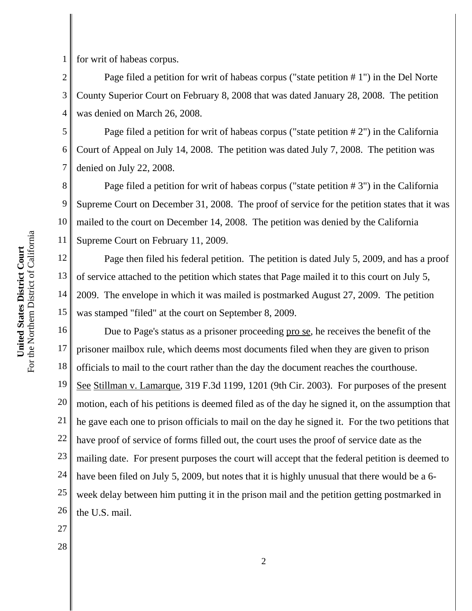1 for writ of habeas corpus.

2 3 4 Page filed a petition for writ of habeas corpus ("state petition # 1") in the Del Norte County Superior Court on February 8, 2008 that was dated January 28, 2008. The petition was denied on March 26, 2008.

5 6 7 Page filed a petition for writ of habeas corpus ("state petition # 2") in the California Court of Appeal on July 14, 2008. The petition was dated July 7, 2008. The petition was denied on July 22, 2008.

8 9 10 11 Page filed a petition for writ of habeas corpus ("state petition # 3") in the California Supreme Court on December 31, 2008. The proof of service for the petition states that it was mailed to the court on December 14, 2008. The petition was denied by the California Supreme Court on February 11, 2009.

12 13 14 15 Page then filed his federal petition. The petition is dated July 5, 2009, and has a proof of service attached to the petition which states that Page mailed it to this court on July 5, 2009. The envelope in which it was mailed is postmarked August 27, 2009. The petition was stamped "filed" at the court on September 8, 2009.

16 17 18 19 20 21 22 23 24 25 26 Due to Page's status as a prisoner proceeding pro se, he receives the benefit of the prisoner mailbox rule, which deems most documents filed when they are given to prison officials to mail to the court rather than the day the document reaches the courthouse. See Stillman v. Lamarque, 319 F.3d 1199, 1201 (9th Cir. 2003). For purposes of the present motion, each of his petitions is deemed filed as of the day he signed it, on the assumption that he gave each one to prison officials to mail on the day he signed it. For the two petitions that have proof of service of forms filled out, the court uses the proof of service date as the mailing date. For present purposes the court will accept that the federal petition is deemed to have been filed on July 5, 2009, but notes that it is highly unusual that there would be a 6 week delay between him putting it in the prison mail and the petition getting postmarked in the U.S. mail.

For the Northern District of California For the Northern District of California United States District Court **United States District Court**

27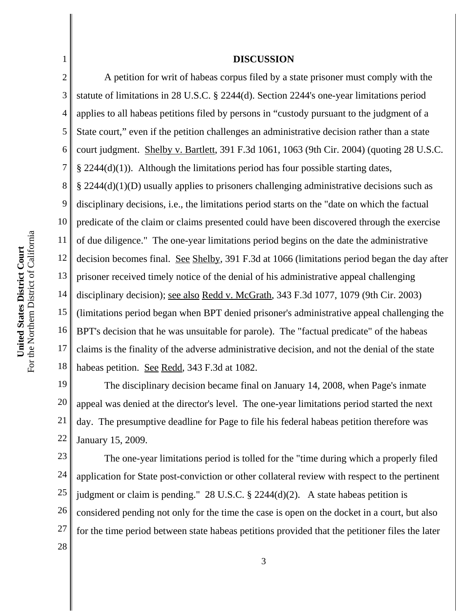## 3 4 5 6 7 8 9 10 For the Northern District of California For the Northern District of California 11 United States District Court **United States District Court** 12 13 14 15 16 17

1

2

## **DISCUSSION**

18 A petition for writ of habeas corpus filed by a state prisoner must comply with the statute of limitations in 28 U.S.C. § 2244(d). Section 2244's one-year limitations period applies to all habeas petitions filed by persons in "custody pursuant to the judgment of a State court," even if the petition challenges an administrative decision rather than a state court judgment. Shelby v. Bartlett, 391 F.3d 1061, 1063 (9th Cir. 2004) (quoting 28 U.S.C.  $§$  2244(d)(1)). Although the limitations period has four possible starting dates, § 2244(d)(1)(D) usually applies to prisoners challenging administrative decisions such as disciplinary decisions, i.e., the limitations period starts on the "date on which the factual predicate of the claim or claims presented could have been discovered through the exercise of due diligence." The one-year limitations period begins on the date the administrative decision becomes final. See Shelby, 391 F.3d at 1066 (limitations period began the day after prisoner received timely notice of the denial of his administrative appeal challenging disciplinary decision); see also Redd v. McGrath, 343 F.3d 1077, 1079 (9th Cir. 2003) (limitations period began when BPT denied prisoner's administrative appeal challenging the BPT's decision that he was unsuitable for parole). The "factual predicate" of the habeas claims is the finality of the adverse administrative decision, and not the denial of the state habeas petition. See Redd, 343 F.3d at 1082.

19 20 21 22 The disciplinary decision became final on January 14, 2008, when Page's inmate appeal was denied at the director's level. The one-year limitations period started the next day. The presumptive deadline for Page to file his federal habeas petition therefore was January 15, 2009.

23 24 25 26 27 28 The one-year limitations period is tolled for the "time during which a properly filed application for State post-conviction or other collateral review with respect to the pertinent judgment or claim is pending." 28 U.S.C. § 2244(d)(2). A state habeas petition is considered pending not only for the time the case is open on the docket in a court, but also for the time period between state habeas petitions provided that the petitioner files the later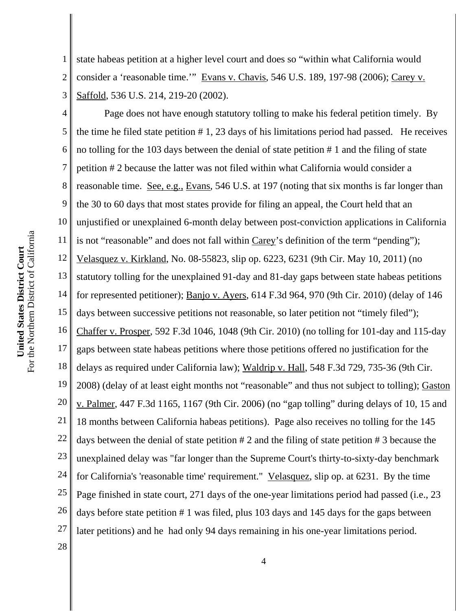1 2 3 state habeas petition at a higher level court and does so "within what California would consider a 'reasonable time.'" Evans v. Chavis, 546 U.S. 189, 197-98 (2006); Carey v. Saffold, 536 U.S. 214, 219-20 (2002).

4 5 6 7 8 9 10 11 12 13 14 15 16 17 18 19 20 21 22 23 24 25 26 27 Page does not have enough statutory tolling to make his federal petition timely. By the time he filed state petition # 1, 23 days of his limitations period had passed. He receives no tolling for the 103 days between the denial of state petition # 1 and the filing of state petition # 2 because the latter was not filed within what California would consider a reasonable time. See, e.g., Evans, 546 U.S. at 197 (noting that six months is far longer than the 30 to 60 days that most states provide for filing an appeal, the Court held that an unjustified or unexplained 6-month delay between post-conviction applications in California is not "reasonable" and does not fall within Carey's definition of the term "pending"); Velasquez v. Kirkland, No. 08-55823, slip op. 6223, 6231 (9th Cir. May 10, 2011) (no statutory tolling for the unexplained 91-day and 81-day gaps between state habeas petitions for represented petitioner); Banjo v. Ayers, 614 F.3d 964, 970 (9th Cir. 2010) (delay of 146 days between successive petitions not reasonable, so later petition not "timely filed"); Chaffer v. Prosper, 592 F.3d 1046, 1048 (9th Cir. 2010) (no tolling for 101-day and 115-day gaps between state habeas petitions where those petitions offered no justification for the delays as required under California law); Waldrip v. Hall, 548 F.3d 729, 735-36 (9th Cir. 2008) (delay of at least eight months not "reasonable" and thus not subject to tolling); Gaston v. Palmer, 447 F.3d 1165, 1167 (9th Cir. 2006) (no "gap tolling" during delays of 10, 15 and 18 months between California habeas petitions). Page also receives no tolling for the 145 days between the denial of state petition # 2 and the filing of state petition # 3 because the unexplained delay was "far longer than the Supreme Court's thirty-to-sixty-day benchmark for California's 'reasonable time' requirement." Velasquez, slip op. at 6231. By the time Page finished in state court, 271 days of the one-year limitations period had passed (i.e., 23 days before state petition # 1 was filed, plus 103 days and 145 days for the gaps between later petitions) and he had only 94 days remaining in his one-year limitations period.

For the Northern District of California For the Northern District of California United States District Court **United States District Court**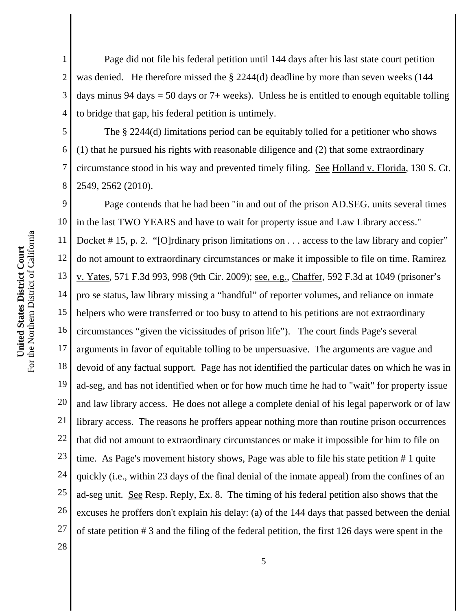1 2 3 4 Page did not file his federal petition until 144 days after his last state court petition was denied. He therefore missed the § 2244(d) deadline by more than seven weeks (144 days minus 94 days = 50 days or  $7+$  weeks). Unless he is entitled to enough equitable tolling to bridge that gap, his federal petition is untimely.

5 6 7 8 The § 2244(d) limitations period can be equitably tolled for a petitioner who shows (1) that he pursued his rights with reasonable diligence and (2) that some extraordinary circumstance stood in his way and prevented timely filing. See Holland v. Florida, 130 S. Ct. 2549, 2562 (2010).

9 10 11 12 13 14 15 16 17 18 19 20 21 22 23 24 25 26 27 Page contends that he had been "in and out of the prison AD.SEG. units several times in the last TWO YEARS and have to wait for property issue and Law Library access." Docket #15, p. 2. "[O]rdinary prison limitations on . . . access to the law library and copier" do not amount to extraordinary circumstances or make it impossible to file on time. Ramirez v. Yates, 571 F.3d 993, 998 (9th Cir. 2009); see, e.g., Chaffer, 592 F.3d at 1049 (prisoner's pro se status, law library missing a "handful" of reporter volumes, and reliance on inmate helpers who were transferred or too busy to attend to his petitions are not extraordinary circumstances "given the vicissitudes of prison life"). The court finds Page's several arguments in favor of equitable tolling to be unpersuasive. The arguments are vague and devoid of any factual support. Page has not identified the particular dates on which he was in ad-seg, and has not identified when or for how much time he had to "wait" for property issue and law library access. He does not allege a complete denial of his legal paperwork or of law library access. The reasons he proffers appear nothing more than routine prison occurrences that did not amount to extraordinary circumstances or make it impossible for him to file on time. As Page's movement history shows, Page was able to file his state petition # 1 quite quickly (i.e., within 23 days of the final denial of the inmate appeal) from the confines of an ad-seg unit. See Resp. Reply, Ex. 8. The timing of his federal petition also shows that the excuses he proffers don't explain his delay: (a) of the 144 days that passed between the denial of state petition # 3 and the filing of the federal petition, the first 126 days were spent in the